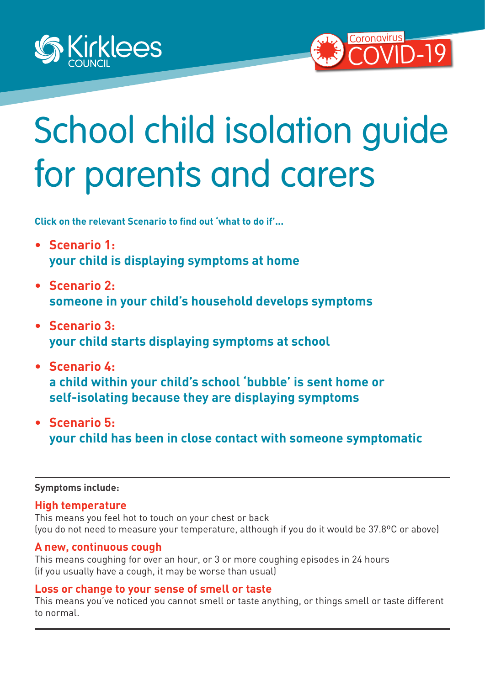<span id="page-0-0"></span>



# School child isolation guide for parents and carers

**Click on the relevant Scenario to find out 'what to do if'...** 

- **• [Scenario 1:](#page-1-0) [your child is displaying symptoms at home](#page-1-0)**
- **• [Scenario 2:](#page-2-0) someone in your child's household develops symptoms**
- **• [Scenario 3:](#page-3-0) [your child starts displaying symptoms at school](#page-3-0)**
- **• [Scenario 4:](#page-4-0) [a child within your child's school 'bubble' is sent home or](#page-4-0)  [self-isolating because they are displaying symptoms](#page-4-0)**
- **• [Scenario 5:](#page-5-0) [your child has been in close contact with someone symptomatic](#page-5-0)**

#### **Symptoms include:**

#### **High temperature**

This means you feel hot to touch on your chest or back (you do not need to measure your temperature, although if you do it would be 37.8ºC or above)

#### **A new, continuous cough**

This means coughing for over an hour, or 3 or more coughing episodes in 24 hours (if you usually have a cough, it may be worse than usual)

#### **Loss or change to your sense of smell or taste**

This means you've noticed you cannot smell or taste anything, or things smell or taste different to normal.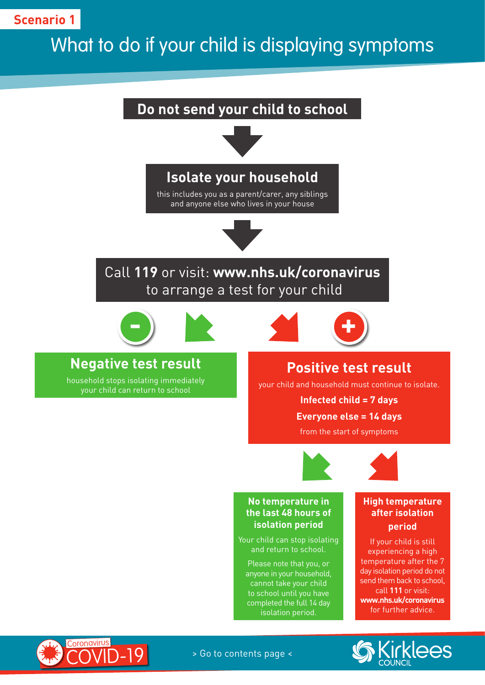# <span id="page-1-0"></span>What to do if your child is displaying symptoms







> Go to contents page <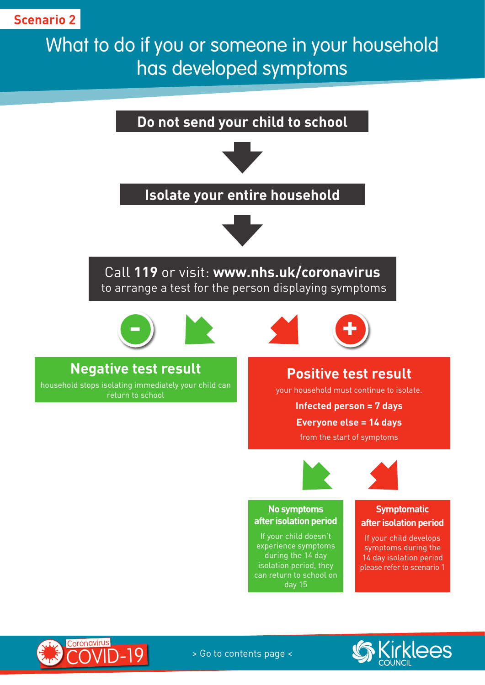# <span id="page-2-0"></span>What to do if you or someone in your household has developed symptoms



during the 14 day isolation period, they can return to school on day 15

14 day isolation period please refer to scenario 1



**Coronavirus**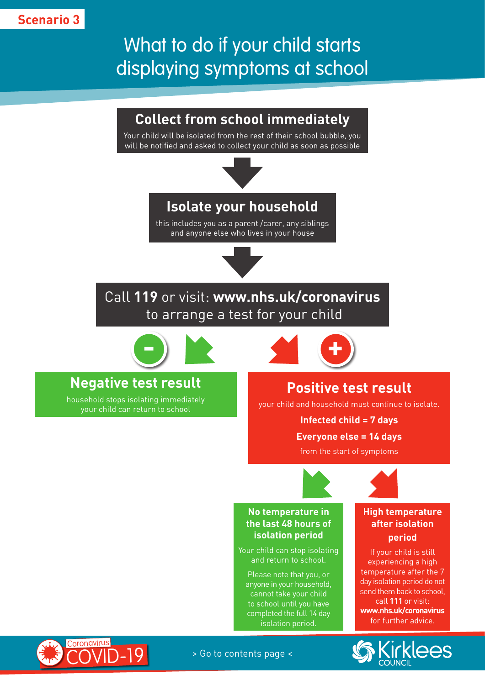# <span id="page-3-0"></span>What to do if your child starts displaying symptoms at school

# **Collect from school immediately**

Your child will be isolated from the rest of their school bubble, you will be notified and asked to collect your child as soon as possible



## **Isolate your household**

this includes you as a parent /carer, any siblings and anyone else who lives in your house



# Call **119** or visit: **www.nhs.uk/coronavirus** to arrange a test for your child



# **Negative test result**

household stops isolating immediately your child can return to school

**- +**

# **Positive test result**

your child and household must continue to isolate.

**Infected child = 7 days Everyone else = 14 days**

from the start of symptoms



#### **No temperature in the last 48 hours of isolation period**

Your child can stop isolating and return to school.

Please note that you, or anyone in your household, cannot take your child to school until you have completed the full 14 day isolation period.

#### **High temperature after isolation period**

If your child is still experiencing a high temperature after the 7 day isolation period do not send them back to school, call **111** or visit: **www.nhs.uk/coronavirus** for further advice.





> Go to contents page <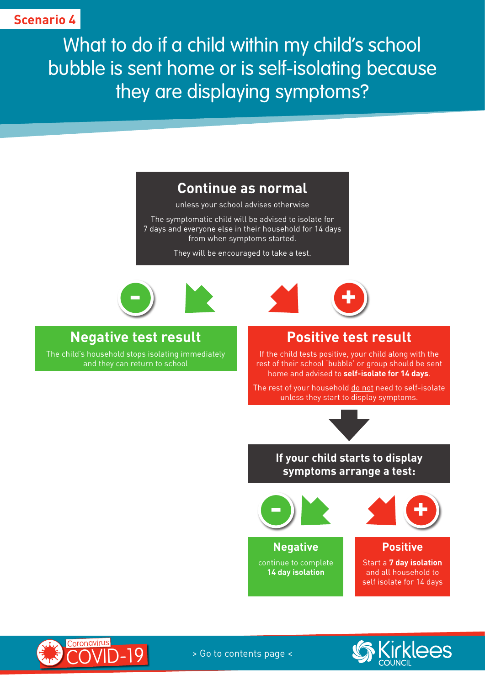<span id="page-4-0"></span>What to do if a child within my child's school bubble is sent home or is self-isolating because they are displaying symptoms?

### **Continue as normal**

unless your school advises otherwise

The symptomatic child will be advised to isolate for 7 days and everyone else in their household for 14 days from when symptoms started.

They will be encouraged to take a test.





## **Negative test result**

The child's household stops isolating immediately and they can return to school

## **Positive test result**

If the child tests positive, your child along with the rest of their school 'bubble' or group should be sent home and advised to **self-isolate for 14 days**.

The rest of your household do not need to self-isolate unless they start to display symptoms.



#### **If your child starts to display symptoms arrange a test:**



**Negative** continue to complete **14 day isolation**



**Positive**

Start a **7 day isolation** and all household to self isolate for 14 days